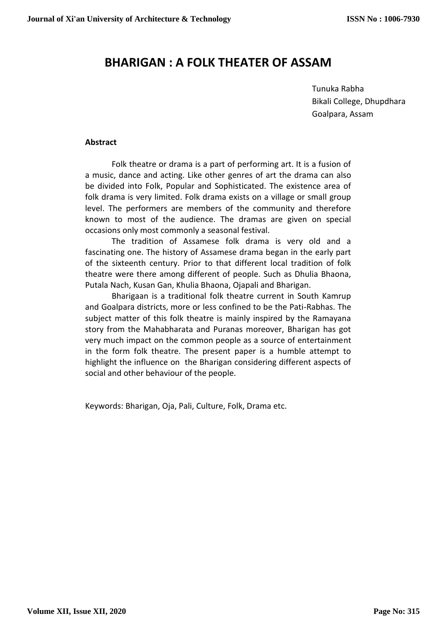# **BHARIGAN : A FOLK THEATER OF ASSAM**

Tunuka Rabha Bikali College, Dhupdhara Goalpara, Assam

#### **Abstract**

Folk theatre or drama is a part of performing art. It is a fusion of a music, dance and acting. Like other genres of art the drama can also be divided into Folk, Popular and Sophisticated. The existence area of folk drama is very limited. Folk drama exists on a village or small group level. The performers are members of the community and therefore known to most of the audience. The dramas are given on special occasions only most commonly a seasonal festival.

The tradition of Assamese folk drama is very old and a fascinating one. The history of Assamese drama began in the early part of the sixteenth century. Prior to that different local tradition of folk theatre were there among different of people. Such as Dhulia Bhaona, Putala Nach, Kusan Gan, Khulia Bhaona, Ojapali and Bharigan.

Bharigaan is a traditional folk theatre current in South Kamrup and Goalpara districts, more or less confined to be the Pati-Rabhas. The subject matter of this folk theatre is mainly inspired by the Ramayana story from the Mahabharata and Puranas moreover, Bharigan has got very much impact on the common people as a source of entertainment in the form folk theatre. The present paper is a humble attempt to highlight the influence on the Bharigan considering different aspects of social and other behaviour of the people.

Keywords: Bharigan, Oja, Pali, Culture, Folk, Drama etc.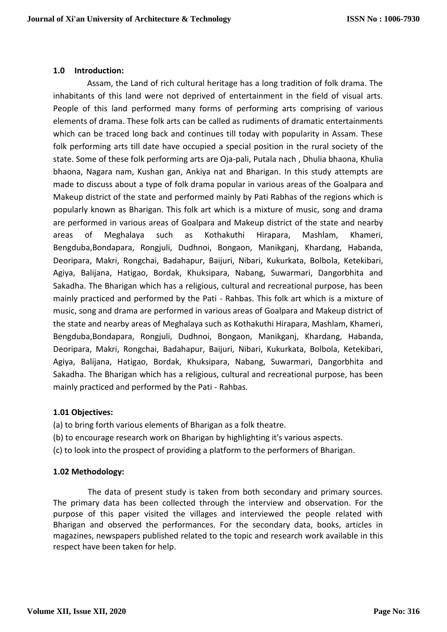## **1.0 Introduction:**

Assam, the Land of rich cultural heritage has a long tradition of folk drama. The inhabitants of this land were not deprived of entertainment in the field of visual arts. People of this land performed many forms of performing arts comprising of various elements of drama. These folk arts can be called as rudiments of dramatic entertainments which can be traced long back and continues till today with popularity in Assam. These folk performing arts till date have occupied a special position in the rural society of the state. Some of these folk performing arts are Oja-pali, Putala nach , Dhulia bhaona, Khulia bhaona, Nagara nam, Kushan gan, Ankiya nat and Bharigan. In this study attempts are made to discuss about a type of folk drama popular in various areas of the Goalpara and Makeup district of the state and performed mainly by Pati Rabhas of the regions which is popularly known as Bharigan. This folk art which is a mixture of music, song and drama are performed in various areas of Goalpara and Makeup district of the state and nearby areas of Meghalaya such as Kothakuthi Hirapara, Mashlam, Khameri, Bengduba,Bondapara, Rongjuli, Dudhnoi, Bongaon, Manikganj, Khardang, Habanda, Deoripara, Makri, Rongchai, Badahapur, Baijuri, Nibari, Kukurkata, Bolbola, Ketekibari, Agiya, Balijana, Hatigao, Bordak, Khuksipara, Nabang, Suwarmari, Dangorbhita and Sakadha. The Bharigan which has a religious, cultural and recreational purpose, has been mainly practiced and performed by the Pati - Rahbas. This folk art which is a mixture of music, song and drama are performed in various areas of Goalpara and Makeup district of the state and nearby areas of Meghalaya such as Kothakuthi Hirapara, Mashlam, Khameri, Bengduba,Bondapara, Rongjuli, Dudhnoi, Bongaon, Manikganj, Khardang, Habanda, Deoripara, Makri, Rongchai, Badahapur, Baijuri, Nibari, Kukurkata, Bolbola, Ketekibari, Agiya, Balijana, Hatigao, Bordak, Khuksipara, Nabang, Suwarmari, Dangorbhita and Sakadha. The Bharigan which has a religious, cultural and recreational purpose, has been mainly practiced and performed by the Pati - Rahbas.

## **1.01 Objectives:**

(a) to bring forth various elements of Bharigan as a folk theatre.

- (b) to encourage research work on Bharigan by highlighting it's various aspects.
- (c) to look into the prospect of providing a platform to the performers of Bharigan.

# **1.02 Methodology:**

 The data of present study is taken from both secondary and primary sources. The primary data has been collected through the interview and observation. For the purpose of this paper visited the villages and interviewed the people related with Bharigan and observed the performances. For the secondary data, books, articles in magazines, newspapers published related to the topic and research work available in this respect have been taken for help.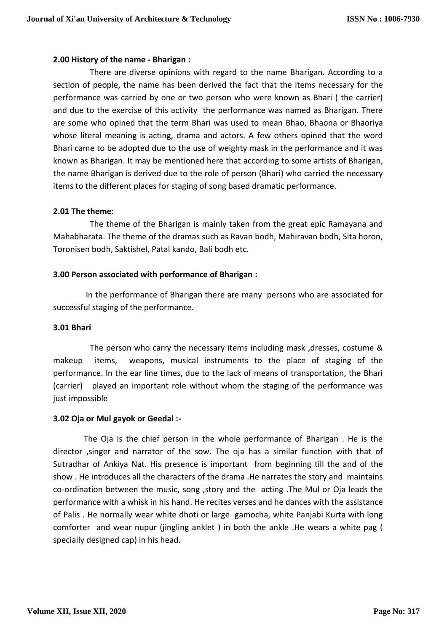## **2.00 History of the name - Bharigan :**

 There are diverse opinions with regard to the name Bharigan. According to a section of people, the name has been derived the fact that the items necessary for the performance was carried by one or two person who were known as Bhari ( the carrier) and due to the exercise of this activity the performance was named as Bharigan. There are some who opined that the term Bhari was used to mean Bhao, Bhaona or Bhaoriya whose literal meaning is acting, drama and actors. A few others opined that the word Bhari came to be adopted due to the use of weighty mask in the performance and it was known as Bharigan. It may be mentioned here that according to some artists of Bharigan, the name Bharigan is derived due to the role of person (Bhari) who carried the necessary items to the different places for staging of song based dramatic performance.

## **2.01 The theme:**

 The theme of the Bharigan is mainly taken from the great epic Ramayana and Mahabharata. The theme of the dramas such as Ravan bodh, Mahiravan bodh, Sita horon, Toronisen bodh, Saktishel, Patal kando, Bali bodh etc.

## **3.00 Person associated with performance of Bharigan :**

 In the performance of Bharigan there are many persons who are associated for successful staging of the performance.

#### **3.01 Bhari**

 The person who carry the necessary items including mask ,dresses, costume & makeup items, weapons, musical instruments to the place of staging of the performance. In the ear line times, due to the lack of means of transportation, the Bhari (carrier) played an important role without whom the staging of the performance was just impossible

## **3.02 Oja or Mul gayok or Geedal :-**

 The Oja is the chief person in the whole performance of Bharigan . He is the director ,singer and narrator of the sow. The oja has a similar function with that of Sutradhar of Ankiya Nat. His presence is important from beginning till the and of the show . He introduces all the characters of the drama .He narrates the story and maintains co-ordination between the music, song ,story and the acting .The Mul or Oja leads the performance with a whisk in his hand. He recites verses and he dances with the assistance of Palis . He normally wear white dhoti or large gamocha, white Panjabi Kurta with long comforter and wear nupur (jingling anklet ) in both the ankle .He wears a white pag ( specially designed cap) in his head.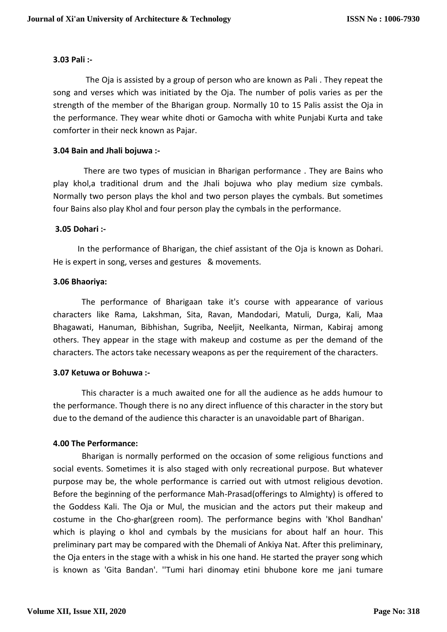## **3.03 Pali :-**

 The Oja is assisted by a group of person who are known as Pali . They repeat the song and verses which was initiated by the Oja. The number of polis varies as per the strength of the member of the Bharigan group. Normally 10 to 15 Palis assist the Oja in the performance. They wear white dhoti or Gamocha with white Punjabi Kurta and take comforter in their neck known as Pajar.

## **3.04 Bain and Jhali bojuwa :-**

 There are two types of musician in Bharigan performance . They are Bains who play khol,a traditional drum and the Jhali bojuwa who play medium size cymbals. Normally two person plays the khol and two person playes the cymbals. But sometimes four Bains also play Khol and four person play the cymbals in the performance.

#### **3.05 Dohari :-**

 In the performance of Bharigan, the chief assistant of the Oja is known as Dohari. He is expert in song, verses and gestures & movements.

#### **3.06 Bhaoriya:**

 The performance of Bharigaan take it's course with appearance of various characters like Rama, Lakshman, Sita, Ravan, Mandodari, Matuli, Durga, Kali, Maa Bhagawati, Hanuman, Bibhishan, Sugriba, Neeljit, Neelkanta, Nirman, Kabiraj among others. They appear in the stage with makeup and costume as per the demand of the characters. The actors take necessary weapons as per the requirement of the characters.

## **3.07 Ketuwa or Bohuwa :-**

 This character is a much awaited one for all the audience as he adds humour to the performance. Though there is no any direct influence of this character in the story but due to the demand of the audience this character is an unavoidable part of Bharigan.

## **4.00 The Performance:**

Bharigan is normally performed on the occasion of some religious functions and social events. Sometimes it is also staged with only recreational purpose. But whatever purpose may be, the whole performance is carried out with utmost religious devotion. Before the beginning of the performance Mah-Prasad(offerings to Almighty) is offered to the Goddess Kali. The Oja or Mul, the musician and the actors put their makeup and costume in the Cho-ghar(green room). The performance begins with 'Khol Bandhan' which is playing o khol and cymbals by the musicians for about half an hour. This preliminary part may be compared with the Dhemali of Ankiya Nat. After this preliminary, the Oja enters in the stage with a whisk in his one hand. He started the prayer song which is known as 'Gita Bandan'. ''Tumi hari dinomay etini bhubone kore me jani tumare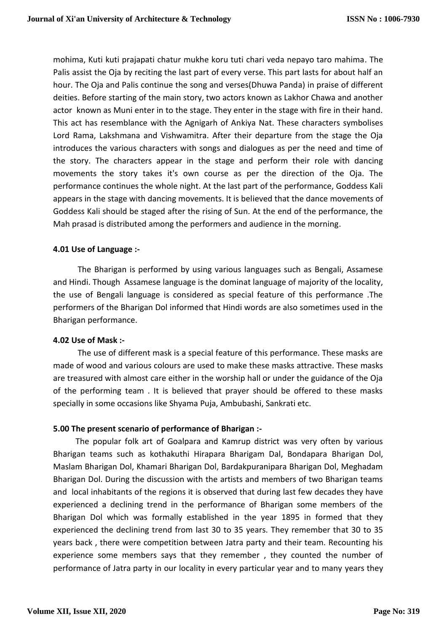mohima, Kuti kuti prajapati chatur mukhe koru tuti chari veda nepayo taro mahima. The Palis assist the Oja by reciting the last part of every verse. This part lasts for about half an hour. The Oja and Palis continue the song and verses(Dhuwa Panda) in praise of different deities. Before starting of the main story, two actors known as Lakhor Chawa and another actor known as Muni enter in to the stage. They enter in the stage with fire in their hand. This act has resemblance with the Agnigarh of Ankiya Nat. These characters symbolises Lord Rama, Lakshmana and Vishwamitra. After their departure from the stage the Oja introduces the various characters with songs and dialogues as per the need and time of the story. The characters appear in the stage and perform their role with dancing movements the story takes it's own course as per the direction of the Oja. The performance continues the whole night. At the last part of the performance, Goddess Kali appears in the stage with dancing movements. It is believed that the dance movements of Goddess Kali should be staged after the rising of Sun. At the end of the performance, the Mah prasad is distributed among the performers and audience in the morning.

## **4.01 Use of Language :-**

 The Bharigan is performed by using various languages such as Bengali, Assamese and Hindi. Though Assamese language is the dominat language of majority of the locality, the use of Bengali language is considered as special feature of this performance .The performers of the Bharigan Dol informed that Hindi words are also sometimes used in the Bharigan performance.

## **4.02 Use of Mask :-**

 The use of different mask is a special feature of this performance. These masks are made of wood and various colours are used to make these masks attractive. These masks are treasured with almost care either in the worship hall or under the guidance of the Oja of the performing team . It is believed that prayer should be offered to these masks specially in some occasions like Shyama Puja, Ambubashi, Sankrati etc.

## **5.00 The present scenario of performance of Bharigan :-**

 The popular folk art of Goalpara and Kamrup district was very often by various Bharigan teams such as kothakuthi Hirapara Bharigam Dal, Bondapara Bharigan Dol, Maslam Bharigan Dol, Khamari Bharigan Dol, Bardakpuranipara Bharigan Dol, Meghadam Bharigan Dol. During the discussion with the artists and members of two Bharigan teams and local inhabitants of the regions it is observed that during last few decades they have experienced a declining trend in the performance of Bharigan some members of the Bharigan Dol which was formally established in the year 1895 in formed that they experienced the declining trend from last 30 to 35 years. They remember that 30 to 35 years back , there were competition between Jatra party and their team. Recounting his experience some members says that they remember , they counted the number of performance of Jatra party in our locality in every particular year and to many years they